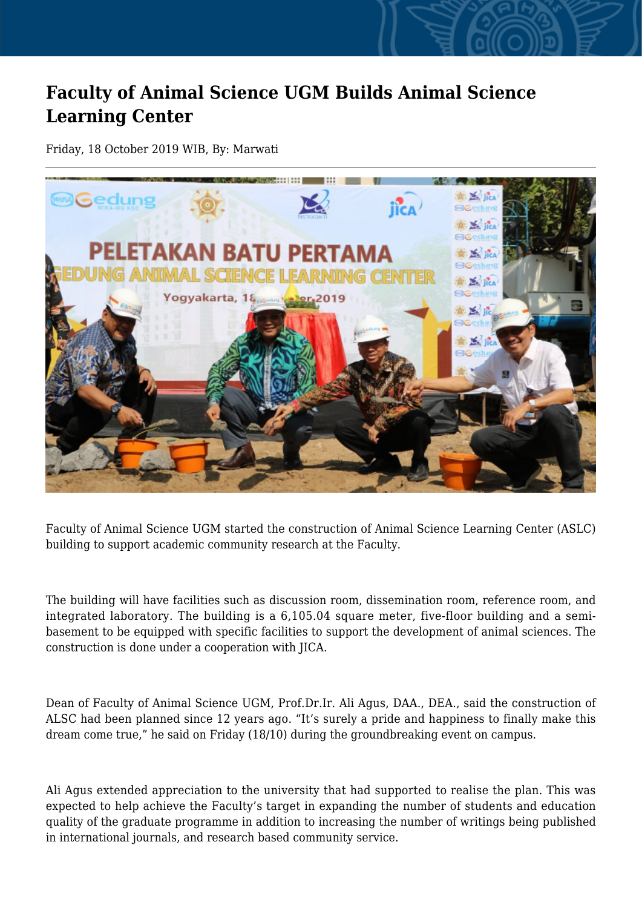## **Faculty of Animal Science UGM Builds Animal Science Learning Center**

Friday, 18 October 2019 WIB, By: Marwati



Faculty of Animal Science UGM started the construction of Animal Science Learning Center (ASLC) building to support academic community research at the Faculty.

The building will have facilities such as discussion room, dissemination room, reference room, and integrated laboratory. The building is a 6,105.04 square meter, five-floor building and a semibasement to be equipped with specific facilities to support the development of animal sciences. The construction is done under a cooperation with JICA.

Dean of Faculty of Animal Science UGM, Prof.Dr.Ir. Ali Agus, DAA., DEA., said the construction of ALSC had been planned since 12 years ago. "It's surely a pride and happiness to finally make this dream come true," he said on Friday (18/10) during the groundbreaking event on campus.

Ali Agus extended appreciation to the university that had supported to realise the plan. This was expected to help achieve the Faculty's target in expanding the number of students and education quality of the graduate programme in addition to increasing the number of writings being published in international journals, and research based community service.